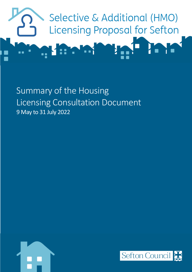

Summary of the Housing Licensing Consultation Document 9 May to 31 July 2022



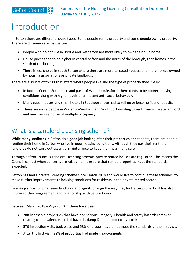### Sefton Council

Summary of the Housing Licensing Consultation Document 9 May to 31 July 2022

# Introduction

In Sefton there are different house types. Some people rent a property and some people own a property. There are differences across Sefton:

- People who do not live in Bootle and Netherton are more likely to own their own home.
- House prices tend to be higher in central Sefton and the north of the borough, than homes in the south of the borough.
- There is less choice in south Sefton where there are more terraced houses, and more homes owned by housing associations or private landlords.

There are also lots of things that affect where people live and the type of property they live in:

- In Bootle, Central Southport, and parts of Waterloo/Seaforth there tends to be poorer housing conditions along with higher levels of crime and anti-social behaviour.
- Many guest houses and small hotels in Southport have had to sell up or become flats or bedsits
- There are more people in Waterloo/Seaforth and Southport wanting to rent from a private landlord and may live in a house of multiple occupancy.

## What is a Landlord Licensing scheme?

While many landlords in Sefton do a good job looking after their properties and tenants, there are people renting their home in Sefton who live in poor housing conditions. Although they pay their rent, their landlords do not carry out essential maintenance to keep them warm and safe.

Through Sefton Council's Landlord Licensing scheme, private rented houses are regulated. This means the Council, can act when concerns are raised, to make sure that rented properties meet the standards expected.

Sefton has had a private licensing scheme since March 2018 and would like to continue these schemes, to make further improvements to housing conditions for residents in the private rented sector.

Licensing since 2018 has seen landlords and agents change the way they look after property. It has also improved their engagement and relationship with Sefton Council.

Between March 2018 – August 2021 there have been:

- 288 licensable properties that have had serious Category 1 health and safety hazards removed relating to fire safety, electrical hazards, damp & mould and excess cold;
- 570 inspection visits took place and 58% of properties did not meet the standards at the first visit.
- After the first visit, 98% of properties had made improvements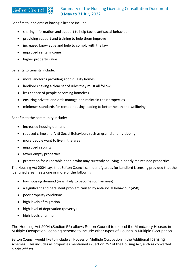#### **Sefton Council**

#### Summary of the Housing Licensing Consultation Document 9 May to 31 July 2022

Benefits to landlords of having a licence include:

- sharing information and support to help tackle antisocial behaviour
- providing support and training to help them improve
- increased knowledge and help to comply with the law
- improved rental income
- higher property value

Benefits to tenants include:

- more landlords providing good quality homes
- landlords having a clear set of rules they must all follow
- less chance of people becoming homeless
- ensuring private landlords manage and maintain their properties
- minimum standards for rented housing leading to better health and wellbeing.

Benefits to the community include:

- increased housing demand
- reduced crime and Anti-Social Behaviour, such as graffiti and fly-tipping
- more people want to live in the area
- improved security
- fewer empty properties
- protection for vulnerable people who may currently be living in poorly maintained properties.

The Housing Act 2004 says that Sefton Council can identify areas for Landlord Licensing provided that the identified area meets one or more of the following:

- low housing demand (or is likely to become such an area)
- a significant and persistent problem caused by anti-social behaviour (ASB)
- poor property conditions
- high levels of migration
- high level of deprivation (poverty)
- high levels of crime

The Housing Act 2004 (Section 56) allows Sefton Council to extend the Mandatory Houses in Multiple Occupation licensing scheme to include other types of Houses in Multiple Occupation.

Sefton Council would like to include all Houses of Multiple Occupation in the Additional licensing schemes. This includes all properties mentioned in Section 257 of the Housing Act, such as converted blocks of flats.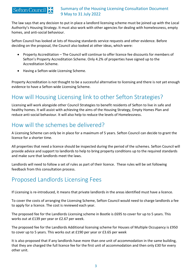#### Sefton Council Summary of the Housing Licensing Consultation Document 9 May to 31 July 2022

The law says that any decision to put in place a landlord licensing scheme must be joined up with the Local Authority's Housing Strategy. It must also work with other agencies for dealing with homelessness, empty homes, and anti-social behaviour.

Sefton Council has looked at lots of Housing standards service requests and other evidence. Before deciding on the proposal, the Council also looked at other ideas, which were:

- Property Accreditation The Council will continue to offer licence fee discounts for members of Sefton's Property Accreditation Scheme. Only 4.2% of properties have signed up to the Accreditation Scheme.
- Having a Sefton-wide Licensing Scheme.

Property Accreditation is not thought to be a successful alternative to licensing and there is not yet enough evidence to have a Sefton-wide Licensing Scheme.

## How will Housing Licensing link to other Sefton Strategies?

Licensing will work alongside other Council Strategies to benefit residents of Sefton to live in safe and healthy homes. It will assist with achieving the aims of the Housing Strategy, Empty Homes Plan and reduce anti-social behaviour. It will also help to reduce the levels of Homelessness.

## How will the schemes be delivered?

A Licensing Scheme can only be in place for a maximum of 5 years. Sefton Council can decide to grant the licence for a shorter time.

All properties that need a licence should be inspected during the period of the schemes. Sefton Council will provide advice and support to landlords to help to bring property conditions up to the required standards and make sure that landlords meet the laws.

Landlords will need to follow a set of rules as part of their licence. These rules will be set following feedback from this consultation process.

## Proposed Landlords Licensing Fees

If Licensing is re-introduced, it means that private landlords in the areas identified must have a licence.

To cover the costs of arranging the Licensing Scheme, Sefton Council would need to charge landlords a fee to apply for a licence. The cost is reviewed each year.

The proposed fee for the Landlords Licensing scheme in Bootle is £695 to cover for up to 5 years. This works out at £139 per year or £2.67 per week.

The proposed fee for the Landlords Additional licensing scheme for Houses of Multiple Occupancy is £950 to cover up to 5 years. This works out at £190 per year or £3.65 per week

It is also proposed that if any landlords have more than one unit of accommodation in the same building, that they are charged the full licence fee for the first unit of accommodation and then only £30 for every other unit.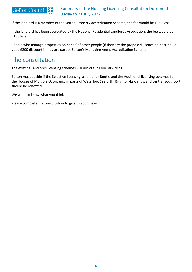

#### Summary of the Housing Licensing Consultation Document 9 May to 31 July 2022

If the landlord is a member of the Sefton Property Accreditation Scheme, the fee would be £150 less

If the landlord has been accredited by the National Residential Landlords Association, the fee would be £150 less.

People who manage properties on behalf of other people (if they are the proposed licence holder), could get a £200 discount if they are part of Sefton's Managing Agent Accreditation Scheme.

## The consultation

The existing Landlords licensing schemes will run out in February 2023.

Sefton must decide if the Selective licensing scheme for Bootle and the Additional licensing schemes for the Houses of Multiple Occupancy in parts of Waterloo, Seaforth, Brighton-Le-Sands, and central Southport should be renewed.

We want to know what you think.

Please complete the consultation to give us your views.